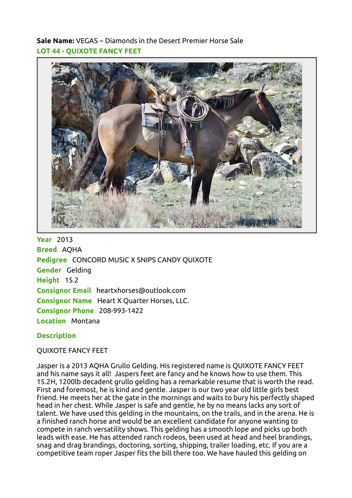Sale Name: VEGAS ~ Diamonds in the Desert Premier Horse Sale LOT 44 - QUIXOTE FANCY FEET



**Year** 2013 Breed AQHA Pedigree CONCORD MUSIC X SNIPS CANDY QUIXOTE Gender Gelding Height 15.2 Consignor Email heartxhorses@outlook.com Consignor Name Heart X Quarter Horses, LLC. Consignor Phone 208-993-1422 Location Montana

## **Description**

## QUIXOTE FANCY FEET

Jasper is a 2013 AQHA Grullo Gelding. His registered name is QUIXOTE FANCY FEET and his name says it all! Jaspers feet are fancy and he knows how to use them. This 15.2H, 1200lb decadent grullo gelding has a remarkable resume that is worth the read. First and foremost, he is kind and gentle. Jasper is our two year old little girls best friend. He meets her at the gate in the mornings and waits to bury his perfectly shaped head in her chest. While Jasper is safe and gentle, he by no means lacks any sort of talent. We have used this gelding in the mountains, on the trails, and in the arena. He is a finished ranch horse and would be an excellent candidate for anyone wanting to compete in ranch versatility shows. This gelding has a smooth lope and picks up both leads with ease. He has attended ranch rodeos, been used at head and heel brandings, snag and drag brandings, doctoring, sorting, shipping, trailer loading, etc. If you are a competitive team roper Jasper fits the bill there too. We have hauled this gelding on